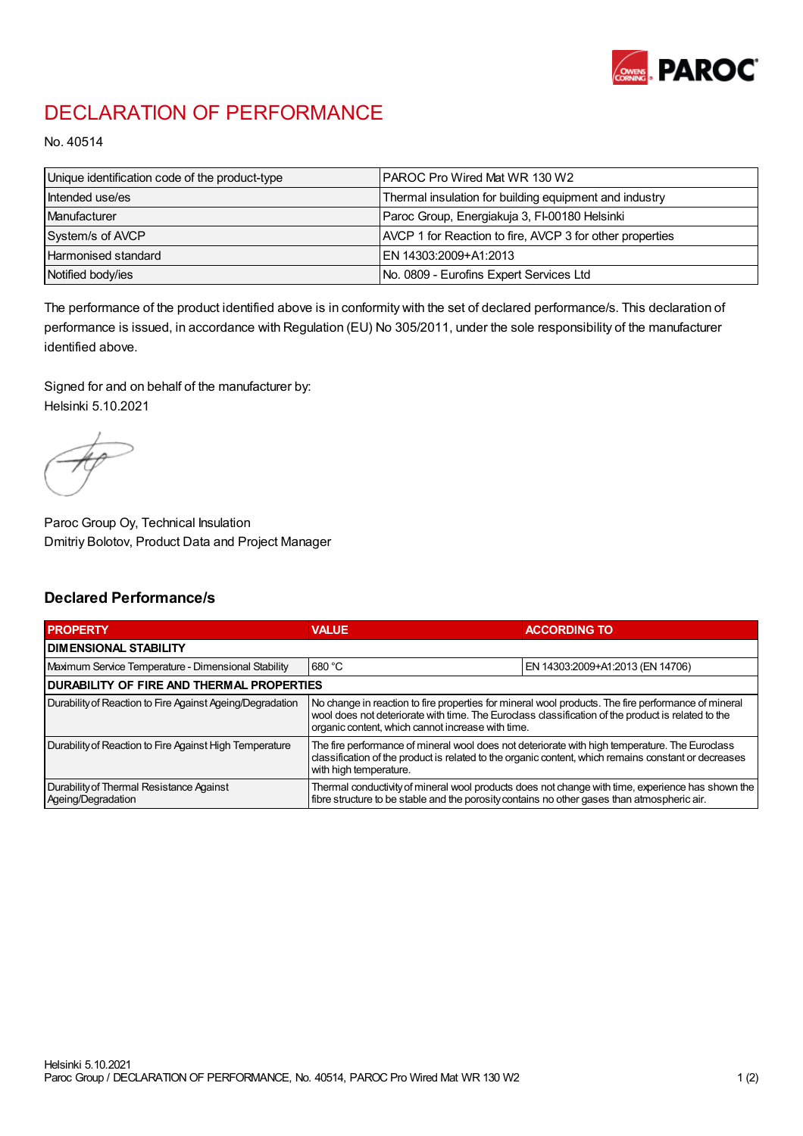

## DECLARATION OF PERFORMANCE

No. 40514

| Unique identification code of the product-type | IPAROC Pro Wired Mat WR 130 W2                           |
|------------------------------------------------|----------------------------------------------------------|
| Intended use/es                                | Thermal insulation for building equipment and industry   |
| Manufacturer                                   | Paroc Group, Energiakuja 3, FI-00180 Helsinki            |
| System/s of AVCP                               | AVCP 1 for Reaction to fire, AVCP 3 for other properties |
| Harmonised standard                            | IEN 14303:2009+A1:2013                                   |
| Notified body/ies                              | No. 0809 - Eurofins Expert Services Ltd                  |

The performance of the product identified above is in conformity with the set of declared performance/s. This declaration of performance is issued, in accordance with Regulation (EU) No 305/2011, under the sole responsibility of the manufacturer identified above.

Signed for and on behalf of the manufacturer by: Helsinki 5.10.2021

Paroc Group Oy, Technical Insulation Dmitriy Bolotov, Product Data and Project Manager

## Declared Performance/s

| <b>PROPERTY</b>                                                | <b>VALUE</b>                                                                                                                                                                                                                                                   | <b>ACCORDING TO.</b>             |  |
|----------------------------------------------------------------|----------------------------------------------------------------------------------------------------------------------------------------------------------------------------------------------------------------------------------------------------------------|----------------------------------|--|
| <b>DIMENSIONAL STABILITY</b>                                   |                                                                                                                                                                                                                                                                |                                  |  |
| Maximum Service Temperature - Dimensional Stability            | 680 °C                                                                                                                                                                                                                                                         | EN 14303:2009+A1:2013 (EN 14706) |  |
| <b>DURABILITY OF FIRE AND THERMAL PROPERTIES</b>               |                                                                                                                                                                                                                                                                |                                  |  |
| Durability of Reaction to Fire Against Ageing/Degradation      | No change in reaction to fire properties for mineral wool products. The fire performance of mineral<br>wool does not deteriorate with time. The Euroclass classification of the product is related to the<br>organic content, which cannot increase with time. |                                  |  |
| Durability of Reaction to Fire Against High Temperature        | The fire performance of mineral wool does not deteriorate with high temperature. The Euroclass<br>classification of the product is related to the organic content, which remains constant or decreases<br>with high temperature.                               |                                  |  |
| Durability of Thermal Resistance Against<br>Ageing/Degradation | Thermal conductivity of mineral wool products does not change with time, experience has shown the<br>fibre structure to be stable and the porosity contains no other gases than atmospheric air.                                                               |                                  |  |